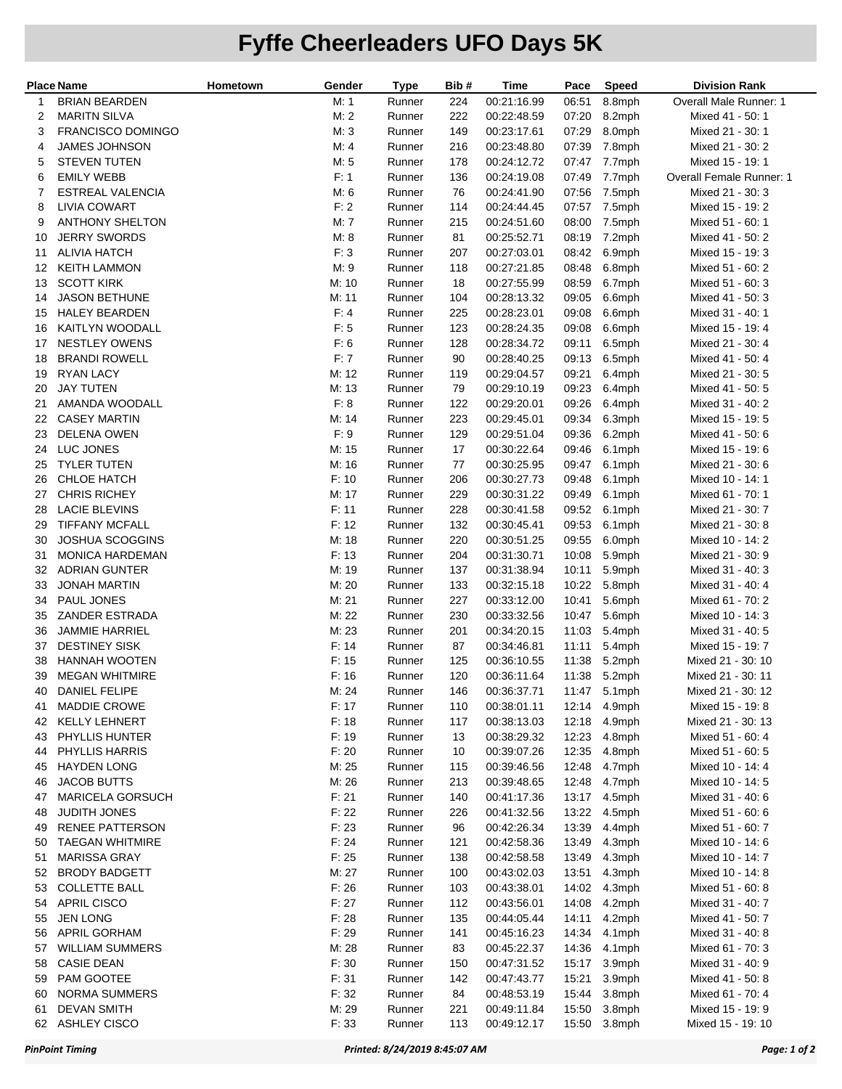## **Fyffe Cheerleaders UFO Days 5K**

| <b>Place Name</b> |                                                | Hometown | Gender         | <b>Type</b>      | Bib#      | Time                       | Pace           | <b>Speed</b>     | <b>Division Rank</b>                 |
|-------------------|------------------------------------------------|----------|----------------|------------------|-----------|----------------------------|----------------|------------------|--------------------------------------|
| 1                 | <b>BRIAN BEARDEN</b>                           |          | M: 1           | Runner           | 224       | 00:21:16.99                | 06:51          | 8.8mph           | Overall Male Runner: 1               |
| 2                 | <b>MARITN SILVA</b>                            |          | M:2            | Runner           | 222       | 00:22:48.59                | 07:20          | 8.2mph           | Mixed 41 - 50: 1                     |
| 3                 | FRANCISCO DOMINGO                              |          | M: 3           | Runner           | 149       | 00:23:17.61                | 07:29          | 8.0mph           | Mixed 21 - 30: 1                     |
| 4                 | <b>JAMES JOHNSON</b>                           |          | M: 4           | Runner           | 216       | 00:23:48.80                | 07:39          | 7.8mph           | Mixed 21 - 30: 2                     |
| 5                 | <b>STEVEN TUTEN</b>                            |          | M: 5           | Runner           | 178       | 00:24:12.72                | 07:47          | 7.7mph           | Mixed 15 - 19: 1                     |
| 6                 | <b>EMILY WEBB</b>                              |          | F: 1           | Runner           | 136       | 00:24:19.08                | 07:49          | 7.7mph           | Overall Female Runner: 1             |
| 7                 | <b>ESTREAL VALENCIA</b>                        |          | M: 6           | Runner           | 76        | 00:24:41.90                | 07:56          | 7.5mph           | Mixed 21 - 30: 3                     |
| 8                 | <b>LIVIA COWART</b>                            |          | F: 2           | Runner           | 114       | 00:24:44.45                | 07:57          | 7.5mph           | Mixed 15 - 19: 2                     |
| 9                 | <b>ANTHONY SHELTON</b>                         |          | M: 7           | Runner           | 215       | 00:24:51.60                | 08:00          | 7.5mph           | Mixed 51 - 60: 1                     |
| 10                | <b>JERRY SWORDS</b>                            |          | M: 8           | Runner           | 81        | 00:25:52.71                | 08:19          | 7.2mph           | Mixed 41 - 50: 2                     |
| 11                | <b>ALIVIA HATCH</b>                            |          | F: 3           | Runner           | 207       | 00:27:03.01                | 08:42          | 6.9mph           | Mixed 15 - 19: 3                     |
| 12                | <b>KEITH LAMMON</b>                            |          | M: 9           | Runner           | 118       | 00:27:21.85                | 08:48          | 6.8mph           | Mixed 51 - 60: 2                     |
| 13                | <b>SCOTT KIRK</b>                              |          | M: 10          | Runner           | 18        | 00:27:55.99                | 08:59          | 6.7mph           | Mixed 51 - 60: 3                     |
| 14                | <b>JASON BETHUNE</b>                           |          | M: 11          | Runner           | 104       | 00:28:13.32                | 09:05          | 6.6mph           | Mixed 41 - 50: 3                     |
| 15                | <b>HALEY BEARDEN</b>                           |          | F: 4           | Runner           | 225       | 00:28:23.01                | 09:08          | 6.6mph           | Mixed 31 - 40: 1                     |
| 16                | KAITLYN WOODALL                                |          | F: 5           | Runner           | 123       | 00:28:24.35                | 09:08          | 6.6mph           | Mixed 15 - 19: 4                     |
| 17                | <b>NESTLEY OWENS</b>                           |          | F: 6           | Runner           | 128       | 00:28:34.72                | 09:11          | 6.5mph           | Mixed 21 - 30: 4                     |
| 18                | <b>BRANDI ROWELL</b>                           |          | F:7            | Runner           | 90        | 00:28:40.25                | 09:13          | 6.5mph           | Mixed 41 - 50: 4                     |
| 19                | <b>RYAN LACY</b>                               |          | M: 12          | Runner           | 119       | 00:29:04.57                | 09:21          | 6.4mph           | Mixed 21 - 30: 5                     |
| 20                | <b>JAY TUTEN</b>                               |          | M: 13          | Runner           | 79        | 00:29:10.19                | 09:23          | 6.4mph           | Mixed 41 - 50: 5                     |
| 21                | AMANDA WOODALL                                 |          | F: 8           | Runner           | 122       | 00:29:20.01                | 09:26          | 6.4mph           | Mixed 31 - 40: 2                     |
| 22                | <b>CASEY MARTIN</b>                            |          | M: 14          | Runner           | 223       | 00:29:45.01                | 09:34          | 6.3mph           | Mixed 15 - 19: 5                     |
| 23                | <b>DELENA OWEN</b>                             |          | F: 9           | Runner           | 129       | 00:29:51.04                | 09:36          | 6.2mph           | Mixed 41 - 50: 6                     |
| 24                | LUC JONES                                      |          | M: 15          | Runner           | 17        | 00:30:22.64                | 09:46          | 6.1mph           | Mixed 15 - 19: 6                     |
| 25                | <b>TYLER TUTEN</b>                             |          | M: 16          | Runner           | 77        | 00:30:25.95                | 09:47          | 6.1mph           | Mixed 21 - 30: 6                     |
| 26                | <b>CHLOE HATCH</b>                             |          | F: 10          | Runner           | 206       | 00:30:27.73                | 09:48          | 6.1mph           | Mixed 10 - 14: 1                     |
| 27                | <b>CHRIS RICHEY</b>                            |          | M: 17          | Runner           | 229       | 00:30:31.22                | 09:49          | 6.1mph           | Mixed 61 - 70: 1                     |
| 28                | <b>LACIE BLEVINS</b>                           |          | F: 11          | Runner           | 228       | 00:30:41.58                | 09:52          | 6.1mph           | Mixed 21 - 30: 7                     |
| 29                | <b>TIFFANY MCFALL</b>                          |          | F: 12          | Runner           | 132       | 00:30:45.41                | 09:53          | 6.1mph           | Mixed 21 - 30: 8                     |
| 30                | <b>JOSHUA SCOGGINS</b>                         |          | M: 18          | Runner           | 220       | 00:30:51.25                | 09:55          | 6.0mph           | Mixed 10 - 14: 2                     |
| 31                | MONICA HARDEMAN                                |          | F: 13          | Runner           | 204       | 00:31:30.71                | 10:08          | 5.9mph           | Mixed 21 - 30: 9                     |
| 32                | <b>ADRIAN GUNTER</b>                           |          | M: 19          | Runner           | 137       | 00:31:38.94                | 10:11          | 5.9mph           | Mixed 31 - 40: 3                     |
| 33                | <b>JONAH MARTIN</b>                            |          | M: 20          | Runner           | 133       | 00:32:15.18                | 10:22          | 5.8mph           | Mixed 31 - 40: 4                     |
| 34                | PAUL JONES                                     |          | M: 21          | Runner           | 227       | 00:33:12.00                | 10:41          | 5.6mph           | Mixed 61 - 70: 2                     |
| 35                | <b>ZANDER ESTRADA</b><br><b>JAMMIE HARRIEL</b> |          | M: 22<br>M: 23 | Runner<br>Runner | 230       | 00:33:32.56<br>00:34:20.15 | 10:47          | 5.6mph<br>5.4mph | Mixed 10 - 14: 3                     |
| 36<br>37          | <b>DESTINEY SISK</b>                           |          | F: 14          | Runner           | 201<br>87 | 00:34:46.81                | 11:03<br>11:11 | 5.4mph           | Mixed 31 - 40: 5<br>Mixed 15 - 19: 7 |
| 38                | <b>HANNAH WOOTEN</b>                           |          | F: 15          | Runner           | 125       | 00:36:10.55                | 11:38          | 5.2mph           | Mixed 21 - 30: 10                    |
| 39                | <b>MEGAN WHITMIRE</b>                          |          | F: 16          | Runner           | 120       | 00:36:11.64                |                | 11:38 5.2mph     | Mixed 21 - 30: 11                    |
|                   | 40 DANIEL FELIPE                               |          | M: 24          | Runner           | 146       | 00:36:37.71                |                | 11:47 5.1mph     | Mixed 21 - 30: 12                    |
| 41                | <b>MADDIE CROWE</b>                            |          | F: 17          | Runner           | 110       | 00:38:01.11                |                | 12:14 4.9mph     | Mixed 15 - 19: 8                     |
| 42                | <b>KELLY LEHNERT</b>                           |          | F: 18          | Runner           | 117       | 00:38:13.03                | 12:18          | 4.9mph           | Mixed 21 - 30: 13                    |
| 43                | PHYLLIS HUNTER                                 |          | F: 19          | Runner           | 13        | 00:38:29.32                | 12:23          | 4.8mph           | Mixed 51 - 60: 4                     |
| 44                | PHYLLIS HARRIS                                 |          | F: 20          | Runner           | 10        | 00:39:07.26                | 12:35          | 4.8mph           | Mixed 51 - 60: 5                     |
| 45                | <b>HAYDEN LONG</b>                             |          | M: 25          | Runner           | 115       | 00:39:46.56                | 12:48          | 4.7mph           | Mixed 10 - 14: 4                     |
| 46                | <b>JACOB BUTTS</b>                             |          | M: 26          | Runner           | 213       | 00:39:48.65                | 12:48          | 4.7mph           | Mixed 10 - 14: 5                     |
| 47                | <b>MARICELA GORSUCH</b>                        |          | F: 21          | Runner           | 140       | 00:41:17.36                | 13:17          | 4.5mph           | Mixed 31 - 40: 6                     |
| 48                | <b>JUDITH JONES</b>                            |          | F: 22          | Runner           | 226       | 00:41:32.56                | 13:22          | 4.5mph           | Mixed 51 - 60: 6                     |
| 49                | <b>RENEE PATTERSON</b>                         |          | F: 23          | Runner           | 96        | 00:42:26.34                | 13:39          | 4.4mph           | Mixed 51 - 60: 7                     |
| 50                | <b>TAEGAN WHITMIRE</b>                         |          | F: 24          | Runner           | 121       | 00:42:58.36                | 13:49          | 4.3mph           | Mixed 10 - 14: 6                     |
| 51                | <b>MARISSA GRAY</b>                            |          | F: 25          | Runner           | 138       | 00:42:58.58                | 13:49          | 4.3mph           | Mixed 10 - 14: 7                     |
| 52                | <b>BRODY BADGETT</b>                           |          | M: 27          | Runner           | 100       | 00:43:02.03                | 13:51          | 4.3mph           | Mixed 10 - 14: 8                     |
| 53                | <b>COLLETTE BALL</b>                           |          | F:26           | Runner           | 103       | 00:43:38.01                | 14:02          | 4.3mph           | Mixed 51 - 60: 8                     |
| 54                | <b>APRIL CISCO</b>                             |          | F: 27          | Runner           | 112       | 00:43:56.01                | 14:08          | 4.2mph           | Mixed 31 - 40: 7                     |
| 55                | <b>JEN LONG</b>                                |          | F: 28          | Runner           | 135       | 00:44:05.44                | 14:11          | 4.2mph           | Mixed 41 - 50: 7                     |
| 56                | APRIL GORHAM                                   |          | F: 29          | Runner           | 141       | 00:45:16.23                | 14:34          | 4.1mph           | Mixed 31 - 40: 8                     |
| 57                | <b>WILLIAM SUMMERS</b>                         |          | M: 28          | Runner           | 83        | 00:45:22.37                | 14:36          | 4.1mph           | Mixed 61 - 70: 3                     |
| 58                | <b>CASIE DEAN</b>                              |          | F: 30          | Runner           | 150       | 00:47:31.52                | 15:17          | 3.9mph           | Mixed 31 - 40: 9                     |
| 59                | PAM GOOTEE                                     |          | F: 31          | Runner           | 142       | 00:47:43.77                | 15:21          | 3.9mph           | Mixed 41 - 50: 8                     |
| 60                | <b>NORMA SUMMERS</b>                           |          | F: 32          | Runner           | 84        | 00:48:53.19                | 15:44          | 3.8mph           | Mixed 61 - 70: 4                     |
| 61                | <b>DEVAN SMITH</b>                             |          | M: 29          | Runner           | 221       | 00:49:11.84                | 15:50          | 3.8mph           | Mixed 15 - 19: 9                     |
| 62                | <b>ASHLEY CISCO</b>                            |          | F: 33          | Runner           | 113       | 00:49:12.17                | 15:50          | 3.8mph           | Mixed 15 - 19: 10                    |